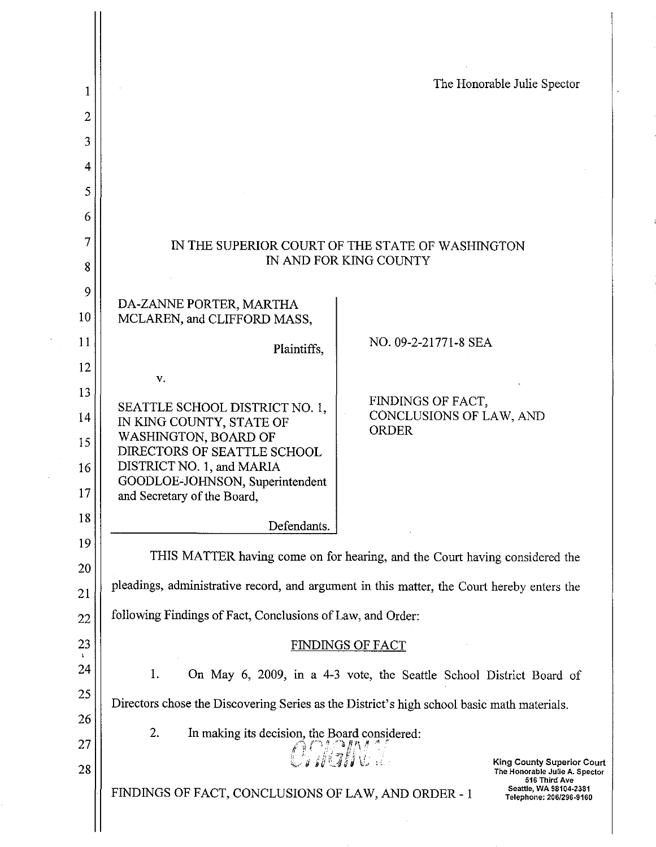| 1              |                                                                                                                                                                                                  |                                                                     | The Honorable Julie Spector                                                                          |
|----------------|--------------------------------------------------------------------------------------------------------------------------------------------------------------------------------------------------|---------------------------------------------------------------------|------------------------------------------------------------------------------------------------------|
| $\overline{2}$ |                                                                                                                                                                                                  |                                                                     |                                                                                                      |
| 3              |                                                                                                                                                                                                  |                                                                     |                                                                                                      |
| 4              |                                                                                                                                                                                                  |                                                                     |                                                                                                      |
| 5              |                                                                                                                                                                                                  |                                                                     |                                                                                                      |
| 6              |                                                                                                                                                                                                  |                                                                     |                                                                                                      |
| 7              | IN THE SUPERIOR COURT OF THE STATE OF WASHINGTON                                                                                                                                                 |                                                                     |                                                                                                      |
| 8              |                                                                                                                                                                                                  | IN AND FOR KING COUNTY                                              |                                                                                                      |
| 9              | DA-ZANNE PORTER, MARTHA                                                                                                                                                                          |                                                                     |                                                                                                      |
| 10             | MCLAREN, and CLIFFORD MASS,                                                                                                                                                                      |                                                                     |                                                                                                      |
| 11             | Plaintiffs,                                                                                                                                                                                      | NO. 09-2-21771-8 SEA                                                |                                                                                                      |
| 12             | V.                                                                                                                                                                                               |                                                                     |                                                                                                      |
| 13             | SEATTLE SCHOOL DISTRICT NO. 1,                                                                                                                                                                   | FINDINGS OF FACT,                                                   |                                                                                                      |
| 14<br>15       | IN KING COUNTY, STATE OF<br>WASHINGTON, BOARD OF                                                                                                                                                 | CONCLUSIONS OF LAW, AND<br><b>ORDER</b>                             |                                                                                                      |
| 16             | DIRECTORS OF SEATTLE SCHOOL<br>DISTRICT NO. 1, and MARIA                                                                                                                                         |                                                                     |                                                                                                      |
| 17             | GOODLOE-JOHNSON, Superintendent                                                                                                                                                                  |                                                                     |                                                                                                      |
| 18             | and Secretary of the Board,                                                                                                                                                                      |                                                                     |                                                                                                      |
| 19             | Defendants.                                                                                                                                                                                      |                                                                     |                                                                                                      |
| 20             | THIS MATTER having come on for hearing, and the Court having considered the                                                                                                                      |                                                                     |                                                                                                      |
| 21             | pleadings, administrative record, and argument in this matter, the Court hereby enters the                                                                                                       |                                                                     |                                                                                                      |
| 22             | following Findings of Fact, Conclusions of Law, and Order:                                                                                                                                       |                                                                     |                                                                                                      |
| 23             |                                                                                                                                                                                                  | <b>FINDINGS OF FACT</b>                                             |                                                                                                      |
| 24             | 1.                                                                                                                                                                                               | On May 6, 2009, in a 4-3 vote, the Seattle School District Board of |                                                                                                      |
| 25             | Directors chose the Discovering Series as the District's high school basic math materials.                                                                                                       |                                                                     |                                                                                                      |
| 26             | 2.                                                                                                                                                                                               |                                                                     |                                                                                                      |
| 27             | In making its decision, the Board considered:<br>$\left( \begin{array}{c} \begin{array}{c} \begin{array}{c} \end{array} \\ \end{array} \end{array} \right)$<br><b>King County Superior Court</b> |                                                                     |                                                                                                      |
| 28             | FINDINGS OF FACT, CONCLUSIONS OF LAW, AND ORDER - 1                                                                                                                                              |                                                                     | The Honorable Julie A. Spector<br>516 Third Ave<br>Seattle, WA 98104-2381<br>Telephone: 206/296-9160 |
|                |                                                                                                                                                                                                  |                                                                     |                                                                                                      |

 $\ddot{\phantom{0}}$ 

l,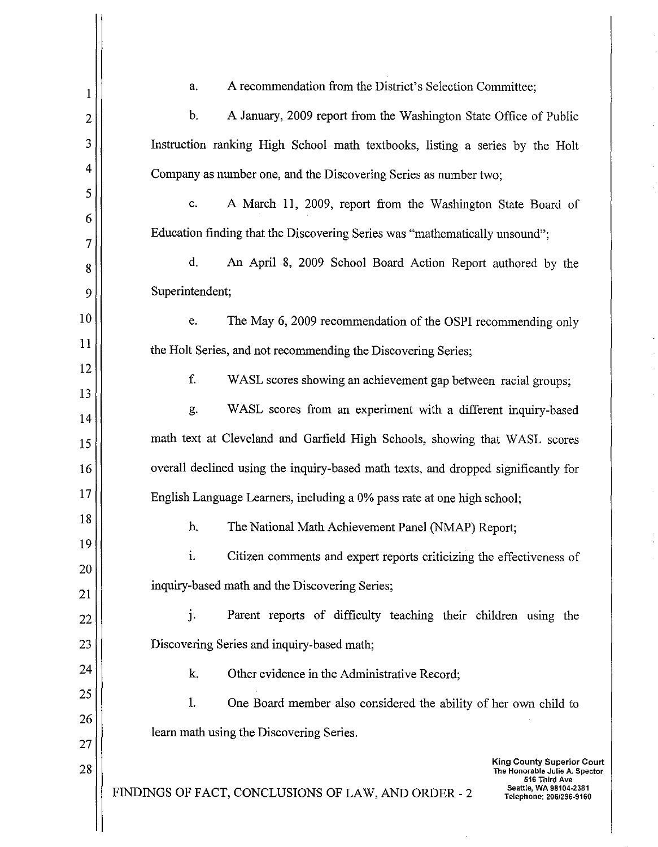| $\mathbf 1$         | A recommendation from the District's Selection Committee;<br>a.                                                                                                                                  |  |  |
|---------------------|--------------------------------------------------------------------------------------------------------------------------------------------------------------------------------------------------|--|--|
| $\overline{2}$      | b.<br>A January, 2009 report from the Washington State Office of Public                                                                                                                          |  |  |
| 3                   | Instruction ranking High School math textbooks, listing a series by the Holt                                                                                                                     |  |  |
| 4                   | Company as number one, and the Discovering Series as number two;                                                                                                                                 |  |  |
| 5                   | A March 11, 2009, report from the Washington State Board of<br>$\mathbf{c}$ .                                                                                                                    |  |  |
| 6                   | Education finding that the Discovering Series was "mathematically unsound";                                                                                                                      |  |  |
| $\overline{7}$<br>8 | d.<br>An April 8, 2009 School Board Action Report authored by the                                                                                                                                |  |  |
| 9                   | Superintendent;                                                                                                                                                                                  |  |  |
| 10                  | The May 6, 2009 recommendation of the OSPI recommending only<br>e.                                                                                                                               |  |  |
| 11                  | the Holt Series, and not recommending the Discovering Series;                                                                                                                                    |  |  |
| 12                  | f.<br>WASL scores showing an achievement gap between racial groups;                                                                                                                              |  |  |
| 13                  | WASL scores from an experiment with a different inquiry-based<br>g.                                                                                                                              |  |  |
| 14                  | math text at Cleveland and Garfield High Schools, showing that WASL scores                                                                                                                       |  |  |
| 15<br>16            | overall declined using the inquiry-based math texts, and dropped significantly for                                                                                                               |  |  |
| 17                  |                                                                                                                                                                                                  |  |  |
| 18                  | English Language Learners, including a 0% pass rate at one high school;                                                                                                                          |  |  |
| 19                  | The National Math Achievement Panel (NMAP) Report;<br>h.                                                                                                                                         |  |  |
| 20                  | i.<br>Citizen comments and expert reports criticizing the effectiveness of                                                                                                                       |  |  |
| 21                  | inquiry-based math and the Discovering Series;                                                                                                                                                   |  |  |
| 22                  | Parent reports of difficulty teaching their children using the<br>j.                                                                                                                             |  |  |
| 23                  | Discovering Series and inquiry-based math;                                                                                                                                                       |  |  |
| 24                  | k.<br>Other evidence in the Administrative Record;                                                                                                                                               |  |  |
| 25<br>26            | l.<br>One Board member also considered the ability of her own child to                                                                                                                           |  |  |
| 27                  | learn math using the Discovering Series.                                                                                                                                                         |  |  |
| 28                  | <b>King County Superior Court</b><br>The Honorable Julie A. Spector<br>516 Third Ave<br>Seattle, WA 98104-2381<br>FINDINGS OF FACT, CONCLUSIONS OF LAW, AND ORDER - 2<br>Telephone: 206/296-9160 |  |  |

 $\bar{\gamma}$